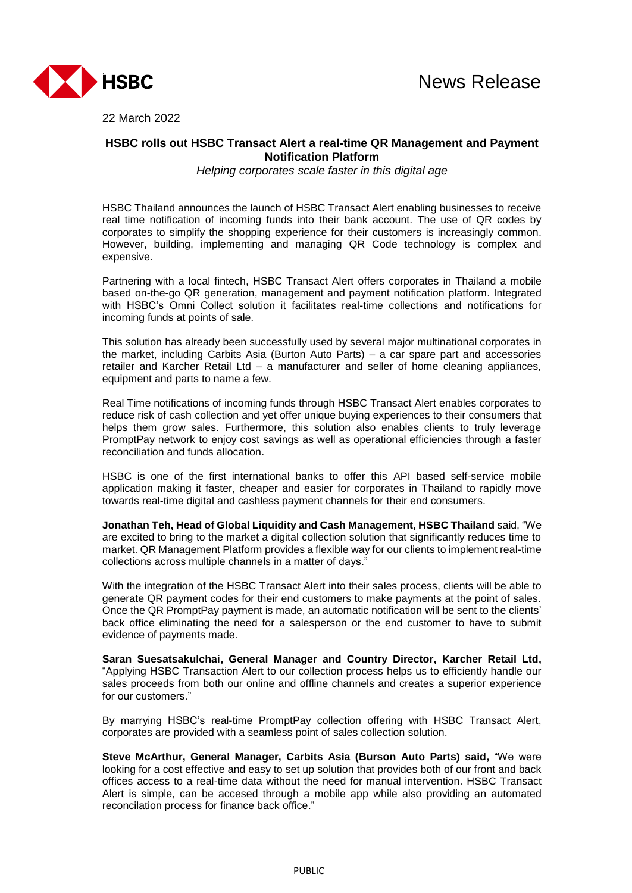



22 March 2022

## **HSBC rolls out HSBC Transact Alert a real-time QR Management and Payment Notification Platform**

*Helping corporates scale faster in this digital age*

HSBC Thailand announces the launch of HSBC Transact Alert enabling businesses to receive real time notification of incoming funds into their bank account. The use of QR codes by corporates to simplify the shopping experience for their customers is increasingly common. However, building, implementing and managing QR Code technology is complex and expensive.

Partnering with a local fintech, HSBC Transact Alert offers corporates in Thailand a mobile based on-the-go QR generation, management and payment notification platform. Integrated with HSBC's Omni Collect solution it facilitates real-time collections and notifications for incoming funds at points of sale.

This solution has already been successfully used by several major multinational corporates in the market, including Carbits Asia (Burton Auto Parts) – a car spare part and accessories retailer and Karcher Retail Ltd – a manufacturer and seller of home cleaning appliances, equipment and parts to name a few.

Real Time notifications of incoming funds through HSBC Transact Alert enables corporates to reduce risk of cash collection and yet offer unique buying experiences to their consumers that helps them grow sales. Furthermore, this solution also enables clients to truly leverage PromptPay network to enjoy cost savings as well as operational efficiencies through a faster reconciliation and funds allocation.

HSBC is one of the first international banks to offer this API based self-service mobile application making it faster, cheaper and easier for corporates in Thailand to rapidly move towards real-time digital and cashless payment channels for their end consumers.

**Jonathan Teh, Head of Global Liquidity and Cash Management, HSBC Thailand** said, "We are excited to bring to the market a digital collection solution that significantly reduces time to market. QR Management Platform provides a flexible way for our clients to implement real-time collections across multiple channels in a matter of days."

With the integration of the HSBC Transact Alert into their sales process, clients will be able to generate QR payment codes for their end customers to make payments at the point of sales. Once the QR PromptPay payment is made, an automatic notification will be sent to the clients' back office eliminating the need for a salesperson or the end customer to have to submit evidence of payments made.

**Saran Suesatsakulchai, General Manager and Country Director, Karcher Retail Ltd,** "Applying HSBC Transaction Alert to our collection process helps us to efficiently handle our sales proceeds from both our online and offline channels and creates a superior experience for our customers."

By marrying HSBC's real-time PromptPay collection offering with HSBC Transact Alert, corporates are provided with a seamless point of sales collection solution.

**Steve McArthur, General Manager, Carbits Asia (Burson Auto Parts) said,** "We were looking for a cost effective and easy to set up solution that provides both of our front and back offices access to a real-time data without the need for manual intervention. HSBC Transact Alert is simple, can be accesed through a mobile app while also providing an automated reconcilation process for finance back office."